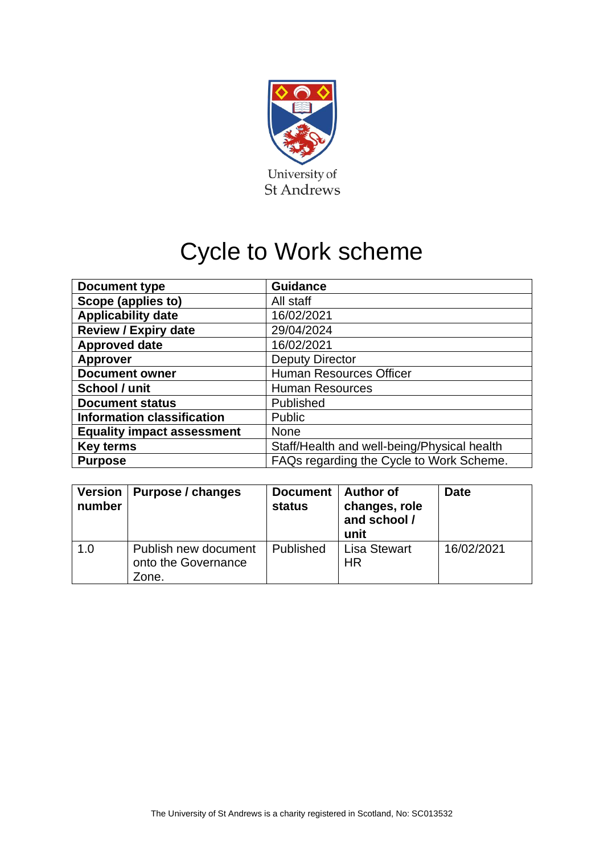

# Cycle to Work scheme

| Document type                     | <b>Guidance</b>                             |
|-----------------------------------|---------------------------------------------|
| Scope (applies to)                | All staff                                   |
| <b>Applicability date</b>         | 16/02/2021                                  |
| <b>Review / Expiry date</b>       | 29/04/2024                                  |
| <b>Approved date</b>              | 16/02/2021                                  |
| <b>Approver</b>                   | <b>Deputy Director</b>                      |
| <b>Document owner</b>             | <b>Human Resources Officer</b>              |
| School / unit                     | <b>Human Resources</b>                      |
| <b>Document status</b>            | Published                                   |
| <b>Information classification</b> | <b>Public</b>                               |
| <b>Equality impact assessment</b> | <b>None</b>                                 |
| <b>Key terms</b>                  | Staff/Health and well-being/Physical health |
| <b>Purpose</b>                    | FAQs regarding the Cycle to Work Scheme.    |

| number | Version   Purpose / changes                          | <b>Document</b><br>status | <b>Author of</b><br>changes, role<br>and school /<br>unit | <b>Date</b> |
|--------|------------------------------------------------------|---------------------------|-----------------------------------------------------------|-------------|
| 1.0    | Publish new document<br>onto the Governance<br>Zone. | <b>Published</b>          | <b>Lisa Stewart</b><br><b>HR</b>                          | 16/02/2021  |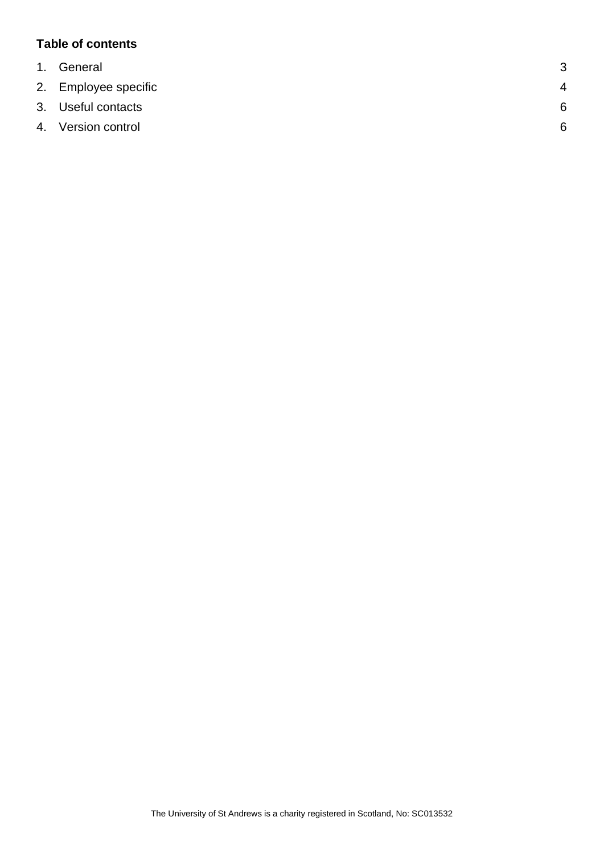## **Table of contents**

| 1. General           | 3              |
|----------------------|----------------|
| 2. Employee specific | $\overline{4}$ |
| 3. Useful contacts   | 6              |
| 4. Version control   | 6              |
|                      |                |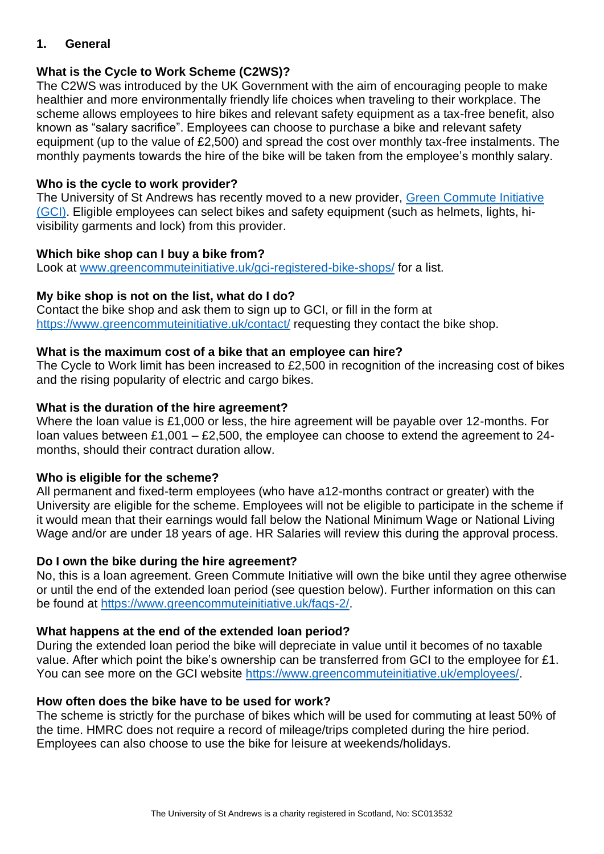## <span id="page-2-0"></span>**1. General**

# **What is the Cycle to Work Scheme (C2WS)?**

The C2WS was introduced by the UK Government with the aim of encouraging people to make healthier and more environmentally friendly life choices when traveling to their workplace. The scheme allows employees to hire bikes and relevant safety equipment as a tax-free benefit, also known as "salary sacrifice". Employees can choose to purchase a bike and relevant safety equipment (up to the value of £2,500) and spread the cost over monthly tax-free instalments. The monthly payments towards the hire of the bike will be taken from the employee's monthly salary.

## **Who is the cycle to work provider?**

The University of St Andrews has recently moved to a new provider, [Green Commute Initiative](https://www.greencommuteinitiative.uk/)  [\(GCI\).](https://www.greencommuteinitiative.uk/) Eligible employees can select bikes and safety equipment (such as helmets, lights, hivisibility garments and lock) from this provider.

## **Which bike shop can I buy a bike from?**

Look at [www.greencommuteinitiative.uk/gci-registered-bike-shops/](http://www.greencommuteinitiative.uk/gci-registered-bike-shops/) for a list.

## **My bike shop is not on the list, what do I do?**

Contact the bike shop and ask them to sign up to GCI, or fill in the form at <https://www.greencommuteinitiative.uk/contact/> requesting they contact the bike shop.

## **What is the maximum cost of a bike that an employee can hire?**

The Cycle to Work limit has been increased to £2,500 in recognition of the increasing cost of bikes and the rising popularity of electric and cargo bikes.

## **What is the duration of the hire agreement?**

Where the loan value is £1,000 or less, the hire agreement will be payable over 12-months. For loan values between £1,001 – £2,500, the employee can choose to extend the agreement to 24 months, should their contract duration allow.

## **Who is eligible for the scheme?**

All permanent and fixed-term employees (who have a12-months contract or greater) with the University are eligible for the scheme. Employees will not be eligible to participate in the scheme if it would mean that their earnings would fall below the National Minimum Wage or National Living Wage and/or are under 18 years of age. HR Salaries will review this during the approval process.

## **Do I own the bike during the hire agreement?**

No, this is a loan agreement. Green Commute Initiative will own the bike until they agree otherwise or until the end of the extended loan period (see question below). Further information on this can be found at [https://www.greencommuteinitiative.uk/faqs-2/.](https://www.greencommuteinitiative.uk/faqs-2/)

## **What happens at the end of the extended loan period?**

During the extended loan period the bike will depreciate in value until it becomes of no taxable value. After which point the bike's ownership can be transferred from GCI to the employee for £1. You can see more on the GCI website [https://www.greencommuteinitiative.uk/employees/.](https://www.greencommuteinitiative.uk/employees/)

## **How often does the bike have to be used for work?**

The scheme is strictly for the purchase of bikes which will be used for commuting at least 50% of the time. HMRC does not require a record of mileage/trips completed during the hire period. Employees can also choose to use the bike for leisure at weekends/holidays.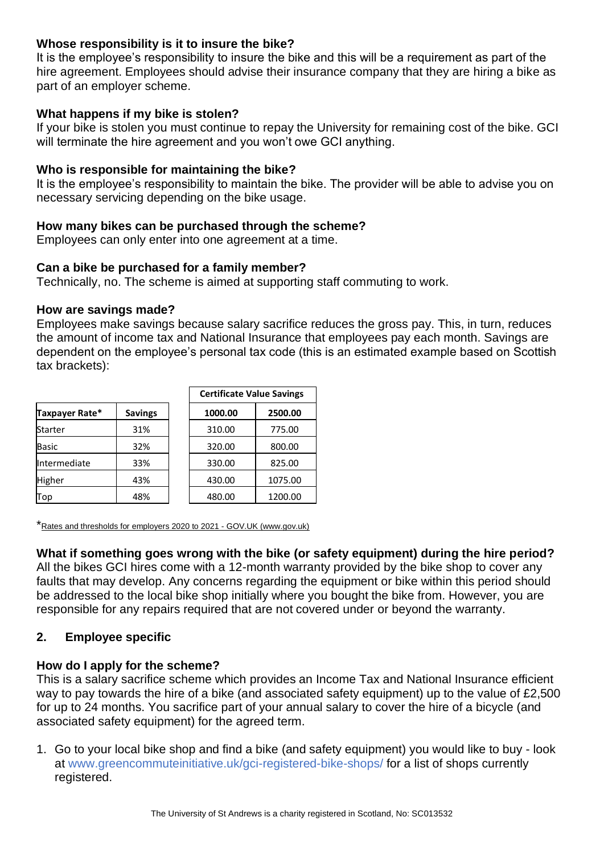## **Whose responsibility is it to insure the bike?**

It is the employee's responsibility to insure the bike and this will be a requirement as part of the hire agreement. Employees should advise their insurance company that they are hiring a bike as part of an employer scheme.

## **What happens if my bike is stolen?**

If your bike is stolen you must continue to repay the University for remaining cost of the bike. GCI will terminate the hire agreement and you won't owe GCI anything.

## **Who is responsible for maintaining the bike?**

It is the employee's responsibility to maintain the bike. The provider will be able to advise you on necessary servicing depending on the bike usage.

## **How many bikes can be purchased through the scheme?**

Employees can only enter into one agreement at a time.

## **Can a bike be purchased for a family member?**

Technically, no. The scheme is aimed at supporting staff commuting to work.

#### **How are savings made?**

Employees make savings because salary sacrifice reduces the gross pay. This, in turn, reduces the amount of income tax and National Insurance that employees pay each month. Savings are dependent on the employee's personal tax code (this is an estimated example based on Scottish tax brackets):

|                |                | <b>Certificate Value Savings</b> |         |
|----------------|----------------|----------------------------------|---------|
| Taxpayer Rate* | <b>Savings</b> | 1000.00                          | 2500.00 |
| <b>Starter</b> | 31%            | 310.00                           | 775.00  |
| <b>Basic</b>   | 32%            | 320.00                           | 800.00  |
| Intermediate   | 33%            | 330.00                           | 825.00  |
| <b>Higher</b>  | 43%            | 430.00                           | 1075.00 |
| Top            | 48%            | 480.00                           | 1200.00 |

\*[Rates and thresholds for employers 2020 to 2021 -](https://www.gov.uk/guidance/rates-and-thresholds-for-employers-2020-to-2021) GOV.UK (www.gov.uk)

## **What if something goes wrong with the bike (or safety equipment) during the hire period?**

All the bikes GCI hires come with a 12-month warranty provided by the bike shop to cover any faults that may develop. Any concerns regarding the equipment or bike within this period should be addressed to the local bike shop initially where you bought the bike from. However, you are responsible for any repairs required that are not covered under or beyond the warranty.

## <span id="page-3-0"></span>**2. Employee specific**

## **How do I apply for the scheme?**

This is a salary sacrifice scheme which provides an Income Tax and National Insurance efficient way to pay towards the hire of a bike (and associated safety equipment) up to the value of £2,500 for up to 24 months. You sacrifice part of your annual salary to cover the hire of a bicycle (and associated safety equipment) for the agreed term.

1. Go to your local bike shop and find a bike (and safety equipment) you would like to buy - look at [www.greencommuteinitiative.uk/gci-registered-bike-shops/](http://www.greencommuteinitiative.uk/gci-registered-bike-shops/) for a list of shops currently registered.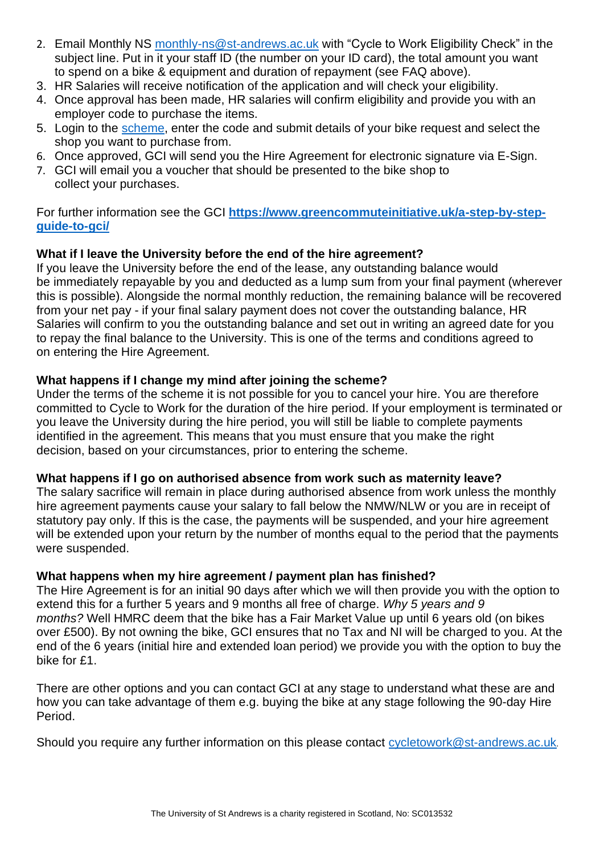- 2. Email Monthly NS [monthly-ns@st-andrews.ac.uk](mailto:monthly-ns@st-andrews.ac.uk) with "Cycle to Work Eligibility Check" in the subject line. Put in it your staff ID (the number on your ID card), the total amount you want to spend on a bike & equipment and duration of repayment (see FAQ above).
- 3. HR Salaries will receive notification of the application and will check your eligibility.
- 4. Once approval has been made, HR salaries will confirm eligibility and provide you with an employer code to purchase the items.
- 5. Login to the [scheme,](http://www.greencommuteinitiative.uk/quote/) enter the code and submit details of your bike request and select the shop you want to purchase from.
- 6. Once approved, GCI will send you the Hire Agreement for electronic signature via E-Sign.
- 7. GCI will email you a voucher that should be presented to the bike shop to collect your purchases.

For further information see the GCI **[https://www.greencommuteinitiative.uk/a-step-by-step](https://www.greencommuteinitiative.uk/a-step-by-step-guide-to-gci/)[guide-to-gci/](https://www.greencommuteinitiative.uk/a-step-by-step-guide-to-gci/)**

# **What if I leave the University before the end of the hire agreement?**

If you leave the University before the end of the lease, any outstanding balance would be immediately repayable by you and deducted as a lump sum from your final payment (wherever this is possible). Alongside the normal monthly reduction, the remaining balance will be recovered from your net pay - if your final salary payment does not cover the outstanding balance, HR Salaries will confirm to you the outstanding balance and set out in writing an agreed date for you to repay the final balance to the University. This is one of the terms and conditions agreed to on entering the Hire Agreement.

## **What happens if I change my mind after joining the scheme?**

Under the terms of the scheme it is not possible for you to cancel your hire. You are therefore committed to Cycle to Work for the duration of the hire period. If your employment is terminated or you leave the University during the hire period, you will still be liable to complete payments identified in the agreement. This means that you must ensure that you make the right decision, based on your circumstances, prior to entering the scheme.

## **What happens if I go on authorised absence from work such as maternity leave?**

The salary sacrifice will remain in place during authorised absence from work unless the monthly hire agreement payments cause your salary to fall below the NMW/NLW or you are in receipt of statutory pay only. If this is the case, the payments will be suspended, and your hire agreement will be extended upon your return by the number of months equal to the period that the payments were suspended.

## **What happens when my hire agreement / payment plan has finished?**

The Hire Agreement is for an initial 90 days after which we will then provide you with the option to extend this for a further 5 years and 9 months all free of charge. *Why 5 years and 9 months?* Well HMRC deem that the bike has a Fair Market Value up until 6 years old (on bikes over £500). By not owning the bike, GCI ensures that no Tax and NI will be charged to you. At the end of the 6 years (initial hire and extended loan period) we provide you with the option to buy the bike for £1.

There are other options and you can contact GCI at any stage to understand what these are and how you can take advantage of them e.g. buying the bike at any stage following the 90-day Hire Period.

Should you require any further information on this please contact [cycletowork@st-andrews.ac.uk](mailto:cycletowork@st-andrews.ac.uk).